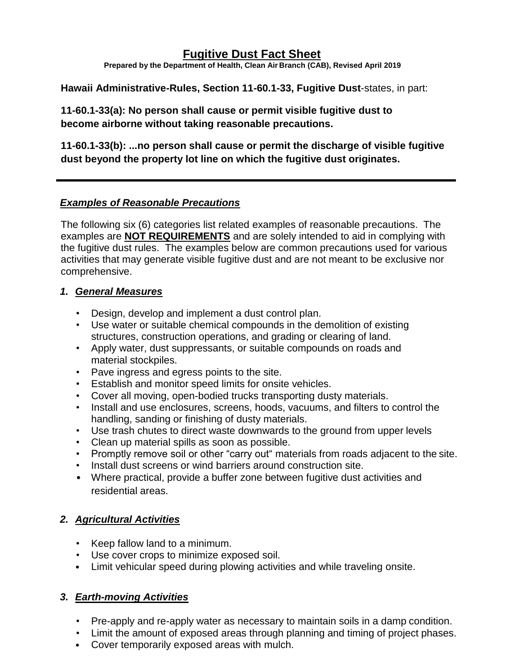# **Fugitive Dust Fact Sheet**

**Prepared by the Department of Health, Clean Air Branch (CAB), Revised April 2019**

**Hawaii Administrative-Rules, Section 11-60.1-33, Fugitive Dust**-states, in part:

**11-60.1-33(a): No person shall cause or permit visible fugitive dust to become airborne without taking reasonable precautions.**

**11-60.1-33(b): ...no person shall cause or permit the discharge of visible fugitive dust beyond the property lot line on which the fugitive dust originates.**

## *Examples of Reasonable Precautions*

The following six (6) categories list related examples of reasonable precautions. The examples are **NOT REQUIREMENTS** and are solely intended to aid in complying with the fugitive dust rules. The examples below are common precautions used for various activities that may generate visible fugitive dust and are not meant to be exclusive nor comprehensive.

## *1. General Measures*

- Design, develop and implement a dust control plan.
- Use water or suitable chemical compounds in the demolition of existing structures, construction operations, and grading or clearing of land.
- Apply water, dust suppressants, or suitable compounds on roads and material stockpiles.
- Pave ingress and egress points to the site.
- Establish and monitor speed limits for onsite vehicles.
- Cover all moving, open-bodied trucks transporting dusty materials.
- Install and use enclosures, screens, hoods, vacuums, and filters to control the handling, sanding or finishing of dusty materials.
- Use trash chutes to direct waste downwards to the ground from upper levels
- Clean up material spills as soon as possible.
- Promptly remove soil or other "carry out" materials from roads adjacent to the site.
- Install dust screens or wind barriers around construction site.
- Where practical, provide a buffer zone between fugitive dust activities and residential areas.

## *2. Agricultural Activities*

- Keep fallow land to a minimum.
- Use cover crops to minimize exposed soil.
- Limit vehicular speed during plowing activities and while traveling onsite.

## *3. Earth-moving Activities*

- Pre-apply and re-apply water as necessary to maintain soils in a damp condition.
- Limit the amount of exposed areas through planning and timing of project phases.
- Cover temporarily exposed areas with mulch.